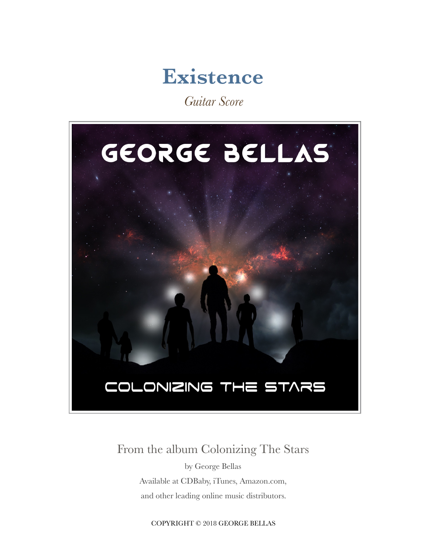

*Guitar Score*



#### From the album Colonizing The Stars

by George Bellas Available at CDBaby, iTunes, Amazon.com, and other leading online music distributors.

COPYRIGHT © 2018 GEORGE BELLAS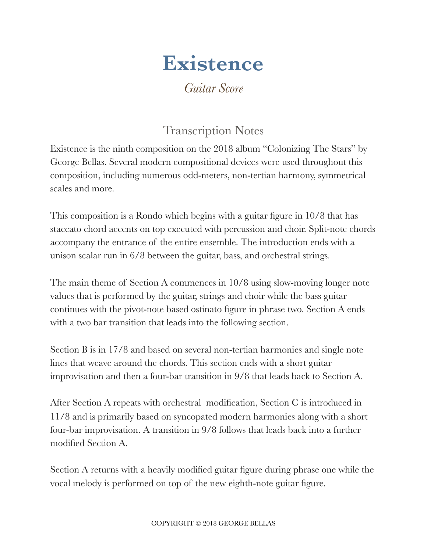# **Existence**

*Guitar Score*

### Transcription Notes

Existence is the ninth composition on the 2018 album "Colonizing The Stars" by George Bellas. Several modern compositional devices were used throughout this composition, including numerous odd-meters, non-tertian harmony, symmetrical scales and more.

This composition is a Rondo which begins with a guitar figure in 10/8 that has staccato chord accents on top executed with percussion and choir. Split-note chords accompany the entrance of the entire ensemble. The introduction ends with a unison scalar run in 6/8 between the guitar, bass, and orchestral strings.

The main theme of Section A commences in 10/8 using slow-moving longer note values that is performed by the guitar, strings and choir while the bass guitar continues with the pivot-note based ostinato figure in phrase two. Section A ends with a two bar transition that leads into the following section.

Section B is in 17/8 and based on several non-tertian harmonies and single note lines that weave around the chords. This section ends with a short guitar improvisation and then a four-bar transition in 9/8 that leads back to Section A.

After Section A repeats with orchestral modification, Section C is introduced in 11/8 and is primarily based on syncopated modern harmonies along with a short four-bar improvisation. A transition in 9/8 follows that leads back into a further modified Section A.

Section A returns with a heavily modified guitar figure during phrase one while the vocal melody is performed on top of the new eighth-note guitar figure.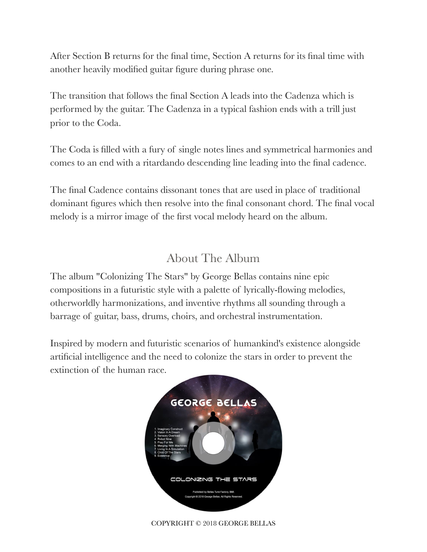After Section B returns for the final time, Section A returns for its final time with another heavily modified guitar figure during phrase one.

The transition that follows the final Section A leads into the Cadenza which is performed by the guitar. The Cadenza in a typical fashion ends with a trill just prior to the Coda.

The Coda is filled with a fury of single notes lines and symmetrical harmonies and comes to an end with a ritardando descending line leading into the final cadence.

The final Cadence contains dissonant tones that are used in place of traditional dominant figures which then resolve into the final consonant chord. The final vocal melody is a mirror image of the first vocal melody heard on the album.

#### About The Album

The album "Colonizing The Stars" by George Bellas contains nine epic compositions in a futuristic style with a palette of lyrically-flowing melodies, otherworldly harmonizations, and inventive rhythms all sounding through a barrage of guitar, bass, drums, choirs, and orchestral instrumentation.

Inspired by modern and futuristic scenarios of humankind's existence alongside artificial intelligence and the need to colonize the stars in order to prevent the extinction of the human race.



COPYRIGHT © 2018 GEORGE BELLAS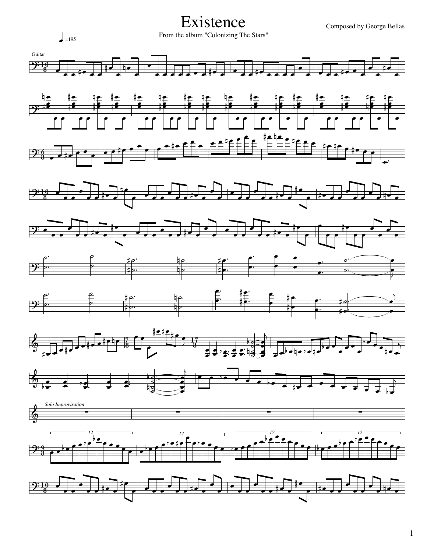Composed by George Bellas

#### Existence

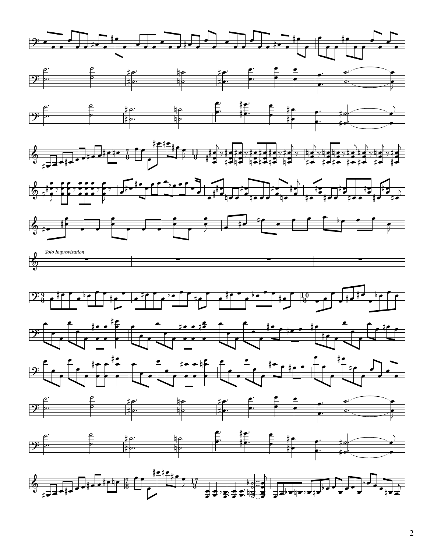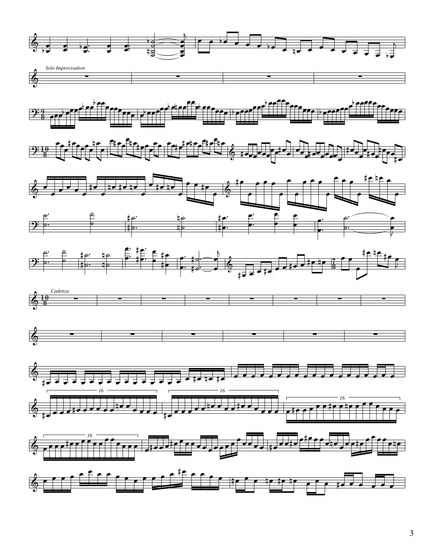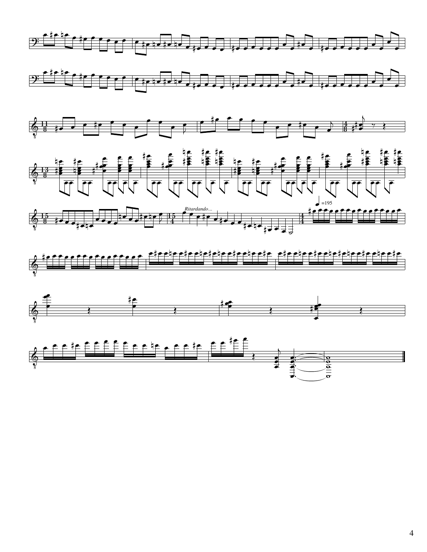